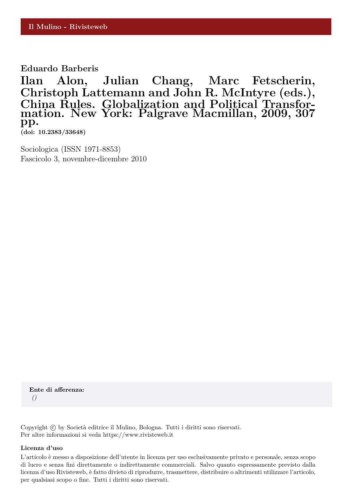**Eduardo Barberis**

**Ilan Alon, Julian Chang, Marc Fetscherin, Christoph Lattemann and John R. McIntyre (eds.), China Rules. Globalization and Political Transformation. New York: Palgrave Macmillan, 2009, 307 pp.**

**(doi: 10.2383/33648)**

Sociologica (ISSN 1971-8853) Fascicolo 3, novembre-dicembre 2010

**Ente di afferenza:** *()*

Copyright © by Società editrice il Mulino, Bologna. Tutti i diritti sono riservati. Per altre informazioni si veda https://www.rivisteweb.it

## **Licenza d'uso**

L'articolo è messo a disposizione dell'utente in licenza per uso esclusivamente privato e personale, senza scopo di lucro e senza fini direttamente o indirettamente commerciali. Salvo quanto espressamente previsto dalla licenza d'uso Rivisteweb, è fatto divieto di riprodurre, trasmettere, distribuire o altrimenti utilizzare l'articolo, per qualsiasi scopo o fine. Tutti i diritti sono riservati.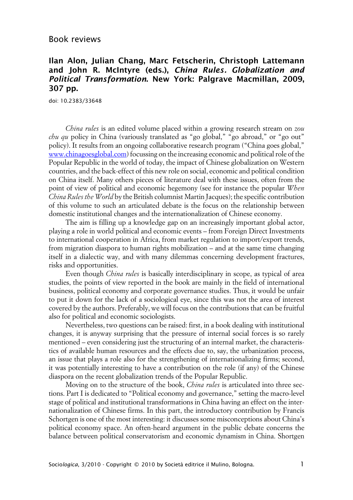## Book reviews

## **Ilan Alon, Julian Chang, Marc Fetscherin, Christoph Lattemann and John R. McIntyre (eds.), China Rules. Globalization and Political Transformation. New York: Palgrave Macmillan, 2009, 307 pp.**

doi: 10.2383/33648

*China rules* is an edited volume placed within a growing research stream on *zou chu qu* policy in China (variously translated as "go global," "go abroad," or "go out" policy). It results from an ongoing collaborative research program ("China goes global," [www.chinagoesglobal.com](http://www.chinagoesglobal.com/)) focussing on the increasing economic and political role of the Popular Republic in the world of today, the impact of Chinese globalization on Western countries, and the back-effect of this new role on social, economic and political condition on China itself. Many others pieces of literature deal with these issues, often from the point of view of political and economic hegemony (see for instance the popular *When China Rules the World* by the British columnist Martin Jacques); the specific contribution of this volume to such an articulated debate is the focus on the relationship between domestic institutional changes and the internationalization of Chinese economy.

The aim is filling up a knowledge gap on an increasingly important global actor, playing a role in world political and economic events – from Foreign Direct Investments to international cooperation in Africa, from market regulation to import/export trends, from migration diaspora to human rights mobilization – and at the same time changing itself in a dialectic way, and with many dilemmas concerning development fractures, risks and opportunities.

Even though *China rules* is basically interdisciplinary in scope, as typical of area studies, the points of view reported in the book are mainly in the field of international business, political economy and corporate governance studies. Thus, it would be unfair to put it down for the lack of a sociological eye, since this was not the area of interest covered by the authors. Preferably, we will focus on the contributions that can be fruitful also for political and economic sociologists.

Nevertheless, two questions can be raised: first, in a book dealing with institutional changes, it is anyway surprising that the pressure of internal social forces is so rarely mentioned – even considering just the structuring of an internal market, the characteristics of available human resources and the effects due to, say, the urbanization process, an issue that plays a role also for the strengthening of internationalizing firms; second, it was potentially interesting to have a contribution on the role (if any) of the Chinese diaspora on the recent globalization trends of the Popular Republic.

Moving on to the structure of the book, *China rules* is articulated into three sections. Part I is dedicated to "Political economy and governance," setting the macro-level stage of political and institutional transformations in China having an effect on the internationalization of Chinese firms. In this part, the introductory contribution by Francis Schortgen is one of the most interesting: it discusses some misconceptions about China's political economy space. An often-heard argument in the public debate concerns the balance between political conservatorism and economic dynamism in China. Shortgen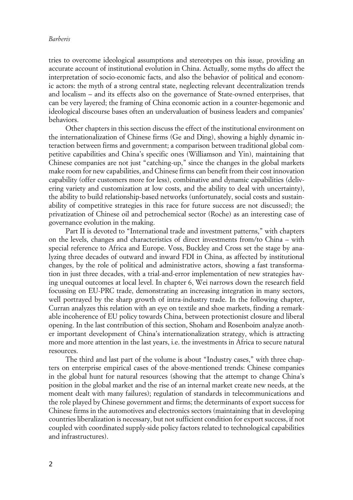## *Barberis*

tries to overcome ideological assumptions and stereotypes on this issue, providing an accurate account of institutional evolution in China. Actually, some myths do affect the interpretation of socio-economic facts, and also the behavior of political and economic actors: the myth of a strong central state, neglecting relevant decentralization trends and localism – and its effects also on the governance of State-owned enterprises, that can be very layered; the framing of China economic action in a counter-hegemonic and ideological discourse bases often an undervaluation of business leaders and companies' behaviors.

Other chapters in this section discuss the effect of the institutional environment on the internationalization of Chinese firms (Ge and Ding), showing a highly dynamic interaction between firms and government; a comparison between traditional global competitive capabilities and China's specific ones (Williamson and Yin), maintaining that Chinese companies are not just "catching-up," since the changes in the global markets make room for new capabilities, and Chinese firms can benefit from their cost innovation capability (offer customers more for less), combinative and dynamic capabilities (delivering variety and customization at low costs, and the ability to deal with uncertainty), the ability to build relationship-based networks (unfortunately, social costs and sustainability of competitive strategies in this race for future success are not discussed); the privatization of Chinese oil and petrochemical sector (Roche) as an interesting case of governance evolution in the making.

Part II is devoted to "International trade and investment patterns," with chapters on the levels, changes and characteristics of direct investments from/to China – with special reference to Africa and Europe. Voss, Buckley and Cross set the stage by analyzing three decades of outward and inward FDI in China, as affected by institutional changes, by the role of political and administrative actors, showing a fast transformation in just three decades, with a trial-and-error implementation of new strategies having unequal outcomes at local level. In chapter 6, Wei narrows down the research field focussing on EU-PRC trade, demonstrating an increasing integration in many sectors, well portrayed by the sharp growth of intra-industry trade. In the following chapter, Curran analyzes this relation with an eye on textile and shoe markets, finding a remarkable incoherence of EU policy towards China, between protectionist closure and liberal opening. In the last contribution of this section, Shoham and Rosenboim analyze another important development of China's internationalization strategy, which is attracting more and more attention in the last years, i.e. the investments in Africa to secure natural resources.

The third and last part of the volume is about "Industry cases," with three chapters on enterprise empirical cases of the above-mentioned trends: Chinese companies in the global hunt for natural resources (showing that the attempt to change China's position in the global market and the rise of an internal market create new needs, at the moment dealt with many failures); regulation of standards in telecommunications and the role played by Chinese government and firms; the determinants of export success for Chinese firms in the automotives and electronics sectors (maintaining that in developing countries liberalization is necessary, but not sufficient condition for export success, if not coupled with coordinated supply-side policy factors related to technological capabilities and infrastructures).